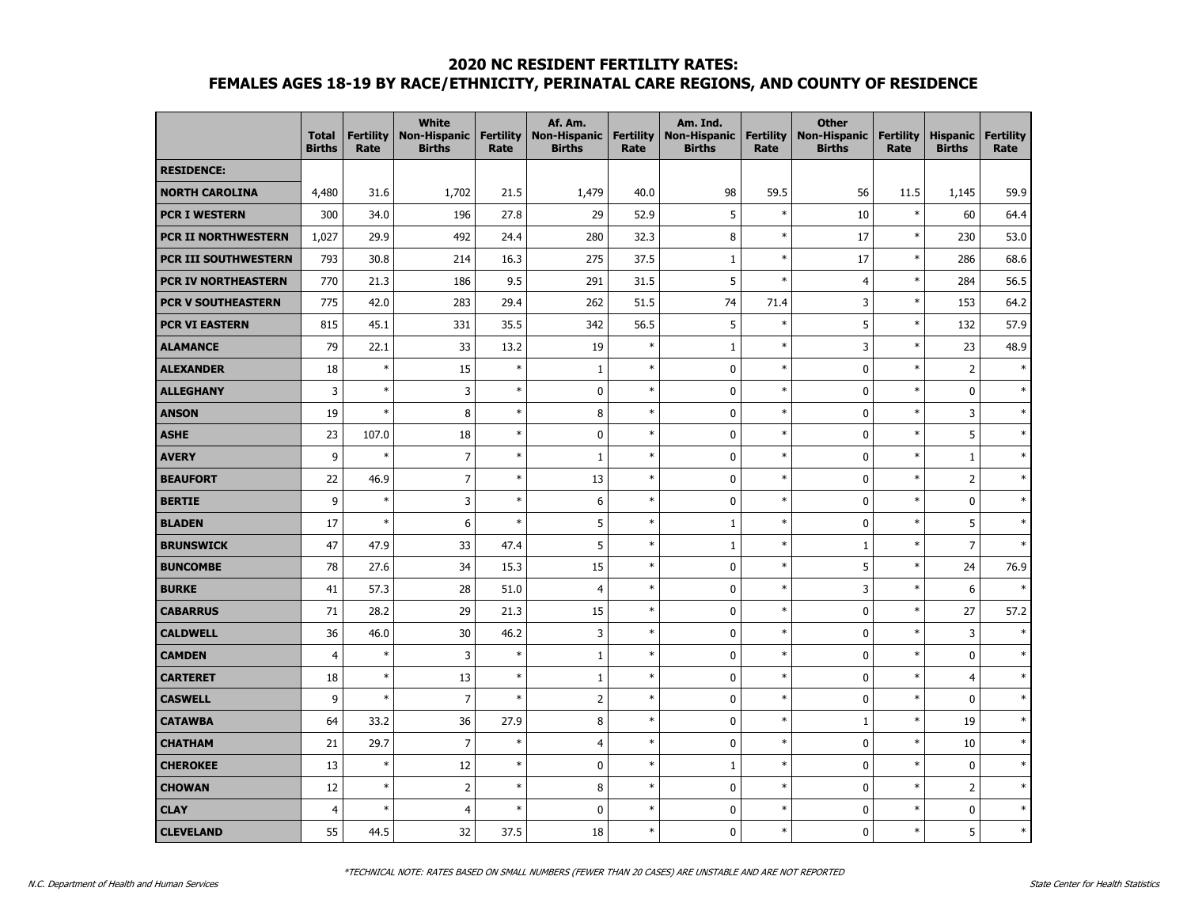#### **2020 NC RESIDENT FERTILITY RATES:**

# **FEMALES AGES 18-19 BY RACE/ETHNICITY, PERINATAL CARE REGIONS, AND COUNTY OF RESIDENCE**

|                             | <b>Total</b><br><b>Births</b> | <b>Fertility</b><br>Rate | <b>White</b><br><b>Non-Hispanic</b><br><b>Births</b> | <b>Fertility</b><br>Rate | Af. Am.<br><b>Non-Hispanic</b><br><b>Births</b> | <b>Fertility</b><br>Rate | Am. Ind.<br><b>Non-Hispanic</b><br><b>Births</b> | <b>Fertility</b><br>Rate | <b>Other</b><br><b>Non-Hispanic</b><br><b>Births</b> | <b>Fertility</b><br>Rate | <b>Hispanic</b><br><b>Births</b> | <b>Fertility</b><br>Rate |
|-----------------------------|-------------------------------|--------------------------|------------------------------------------------------|--------------------------|-------------------------------------------------|--------------------------|--------------------------------------------------|--------------------------|------------------------------------------------------|--------------------------|----------------------------------|--------------------------|
| <b>RESIDENCE:</b>           |                               |                          |                                                      |                          |                                                 |                          |                                                  |                          |                                                      |                          |                                  |                          |
| <b>NORTH CAROLINA</b>       | 4,480                         | 31.6                     | 1,702                                                | 21.5                     | 1,479                                           | 40.0                     | 98                                               | 59.5                     | 56                                                   | 11.5                     | 1,145                            | 59.9                     |
| <b>PCR I WESTERN</b>        | 300                           | 34.0                     | 196                                                  | 27.8                     | 29                                              | 52.9                     | 5                                                | $\ast$                   | 10                                                   | $\ast$                   | 60                               | 64.4                     |
| <b>PCR II NORTHWESTERN</b>  | 1,027                         | 29.9                     | 492                                                  | 24.4                     | 280                                             | 32.3                     | 8                                                | $\ast$                   | 17                                                   | $\ast$                   | 230                              | 53.0                     |
| <b>PCR III SOUTHWESTERN</b> | 793                           | 30.8                     | 214                                                  | 16.3                     | 275                                             | 37.5                     | $\mathbf{1}$                                     | $\ast$                   | 17                                                   | $\ast$                   | 286                              | 68.6                     |
| PCR IV NORTHEASTERN         | 770                           | 21.3                     | 186                                                  | 9.5                      | 291                                             | 31.5                     | 5                                                | $\ast$                   | 4                                                    | $\ast$                   | 284                              | 56.5                     |
| <b>PCR V SOUTHEASTERN</b>   | 775                           | 42.0                     | 283                                                  | 29.4                     | 262                                             | 51.5                     | 74                                               | 71.4                     | 3                                                    | $\ast$                   | 153                              | 64.2                     |
| <b>PCR VI EASTERN</b>       | 815                           | 45.1                     | 331                                                  | 35.5                     | 342                                             | 56.5                     | 5                                                | $\ast$                   | 5                                                    | $\ast$                   | 132                              | 57.9                     |
| <b>ALAMANCE</b>             | 79                            | 22.1                     | 33                                                   | 13.2                     | 19                                              | $\ast$                   | $\mathbf{1}$                                     | $\ast$                   | 3                                                    | $\ast$                   | 23                               | 48.9                     |
| <b>ALEXANDER</b>            | 18                            | $\ast$                   | 15                                                   | $\ast$                   | $\mathbf{1}$                                    | $\ast$                   | $\mathbf 0$                                      | $\ast$                   | $\pmb{0}$                                            | $\ast$                   | $\overline{2}$                   | $\ast$                   |
| <b>ALLEGHANY</b>            | 3                             | $\ast$                   | 3                                                    | $\ast$                   | $\mathbf 0$                                     | $\ast$                   | $\mathbf 0$                                      | $\ast$                   | $\mathbf 0$                                          | $\ast$                   | $\mathbf 0$                      |                          |
| <b>ANSON</b>                | 19                            | $\ast$                   | 8                                                    | $\ast$                   | 8                                               | $\ast$                   | $\mathbf 0$                                      | $\ast$                   | 0                                                    | $\ast$                   | 3                                | $\ast$                   |
| <b>ASHE</b>                 | 23                            | 107.0                    | 18                                                   | $\ast$                   | $\mathbf 0$                                     | $\ast$                   | $\mathbf 0$                                      | $\ast$                   | $\mathbf 0$                                          | $\ast$                   | 5                                | $\ast$                   |
| <b>AVERY</b>                | 9                             | $\ast$                   | $\overline{7}$                                       | $\ast$                   | $\mathbf{1}$                                    | $\ast$                   | $\mathbf{0}$                                     | $\ast$                   | $\mathbf 0$                                          | $\ast$                   | $\mathbf{1}$                     | $\ast$                   |
| <b>BEAUFORT</b>             | 22                            | 46.9                     | $\overline{7}$                                       | $\ast$                   | 13                                              | $\ast$                   | $\mathbf 0$                                      | $\ast$                   | $\pmb{0}$                                            | $\ast$                   | $\overline{2}$                   | ×,                       |
| <b>BERTIE</b>               | 9                             | $\ast$                   | 3                                                    | $\ast$                   | 6                                               | $\ast$                   | $\mathbf 0$                                      | $\ast$                   | 0                                                    | $\ast$                   | $\pmb{0}$                        | $\ast$                   |
| <b>BLADEN</b>               | 17                            | $\ast$                   | 6                                                    | $\ast$                   | 5                                               | $\ast$                   | $\mathbf{1}$                                     | $\ast$                   | $\pmb{0}$                                            | $\ast$                   | 5                                | $\ast$                   |
| <b>BRUNSWICK</b>            | 47                            | 47.9                     | 33                                                   | 47.4                     | 5                                               | $\ast$                   | $\mathbf{1}$                                     | $\ast$                   | $\mathbf{1}$                                         | $\ast$                   | $\overline{7}$                   | $\star$                  |
| <b>BUNCOMBE</b>             | 78                            | 27.6                     | 34                                                   | 15.3                     | 15                                              | $\ast$                   | $\mathbf 0$                                      | $\ast$                   | 5                                                    | $\ast$                   | 24                               | 76.9                     |
| <b>BURKE</b>                | 41                            | 57.3                     | 28                                                   | 51.0                     | $\overline{4}$                                  | $\ast$                   | $\mathbf 0$                                      | $\ast$                   | 3                                                    | $\ast$                   | 6                                |                          |
| <b>CABARRUS</b>             | 71                            | 28.2                     | 29                                                   | 21.3                     | 15                                              | $\ast$                   | $\mathbf 0$                                      | $\ast$                   | 0                                                    | $\ast$                   | 27                               | 57.2                     |
| <b>CALDWELL</b>             | 36                            | 46.0                     | 30                                                   | 46.2                     | 3                                               | $\ast$                   | $\mathbf 0$                                      | $\ast$                   | $\pmb{0}$                                            | $\ast$                   | 3                                | $\ast$                   |
| <b>CAMDEN</b>               | $\overline{4}$                | $\ast$                   | 3                                                    | $\ast$                   | $\mathbf 1$                                     | $\ast$                   | $\mathbf 0$                                      | $\ast$                   | $\pmb{0}$                                            | $\ast$                   | $\mathbf 0$                      |                          |
| <b>CARTERET</b>             | 18                            | $\ast$                   | 13                                                   | $\ast$                   | $\mathbf{1}$                                    | $\ast$                   | $\mathbf 0$                                      | $\ast$                   | 0                                                    | $\ast$                   | $\overline{4}$                   | $\ast$                   |
| <b>CASWELL</b>              | 9                             | $\ast$                   | $\overline{7}$                                       | $\ast$                   | $\overline{2}$                                  | $\ast$                   | $\mathbf 0$                                      | $\ast$                   | 0                                                    | $\ast$                   | $\mathbf 0$                      | $\ast$                   |
| <b>CATAWBA</b>              | 64                            | 33.2                     | 36                                                   | 27.9                     | 8                                               | $\ast$                   | $\mathbf 0$                                      | $\ast$                   | $\mathbf{1}$                                         | $\ast$                   | 19                               |                          |
| <b>CHATHAM</b>              | 21                            | 29.7                     | $\boldsymbol{7}$                                     | $\ast$                   | $\overline{4}$                                  | $\ast$                   | $\mathbf 0$                                      | $\ast$                   | $\mathbf 0$                                          | $\ast$                   | 10                               |                          |
| <b>CHEROKEE</b>             | 13                            | $\ast$                   | 12                                                   | $\ast$                   | $\pmb{0}$                                       | $\ast$                   | $\mathbf{1}$                                     | $\ast$                   | 0                                                    | $\ast$                   | 0                                | ×,                       |
| <b>CHOWAN</b>               | 12                            | $\ast$                   | $\mathbf 2$                                          | $\ast$                   | 8                                               | $\ast$                   | $\mathbf 0$                                      | $\ast$                   | 0                                                    | $\ast$                   | $\overline{2}$                   | s,                       |
| <b>CLAY</b>                 | $\overline{4}$                | $\ast$                   | $\overline{4}$                                       | $\ast$                   | $\mathbf 0$                                     | $\ast$                   | $\mathbf 0$                                      | $\ast$                   | $\mathbf 0$                                          | $\ast$                   | $\mathbf 0$                      | $\ast$                   |
| <b>CLEVELAND</b>            | 55                            | 44.5                     | 32                                                   | 37.5                     | 18                                              | $\ast$                   | $\mathbf{0}$                                     | $\ast$                   | $\mathbf{0}$                                         | $\ast$                   | 5                                | $\ast$                   |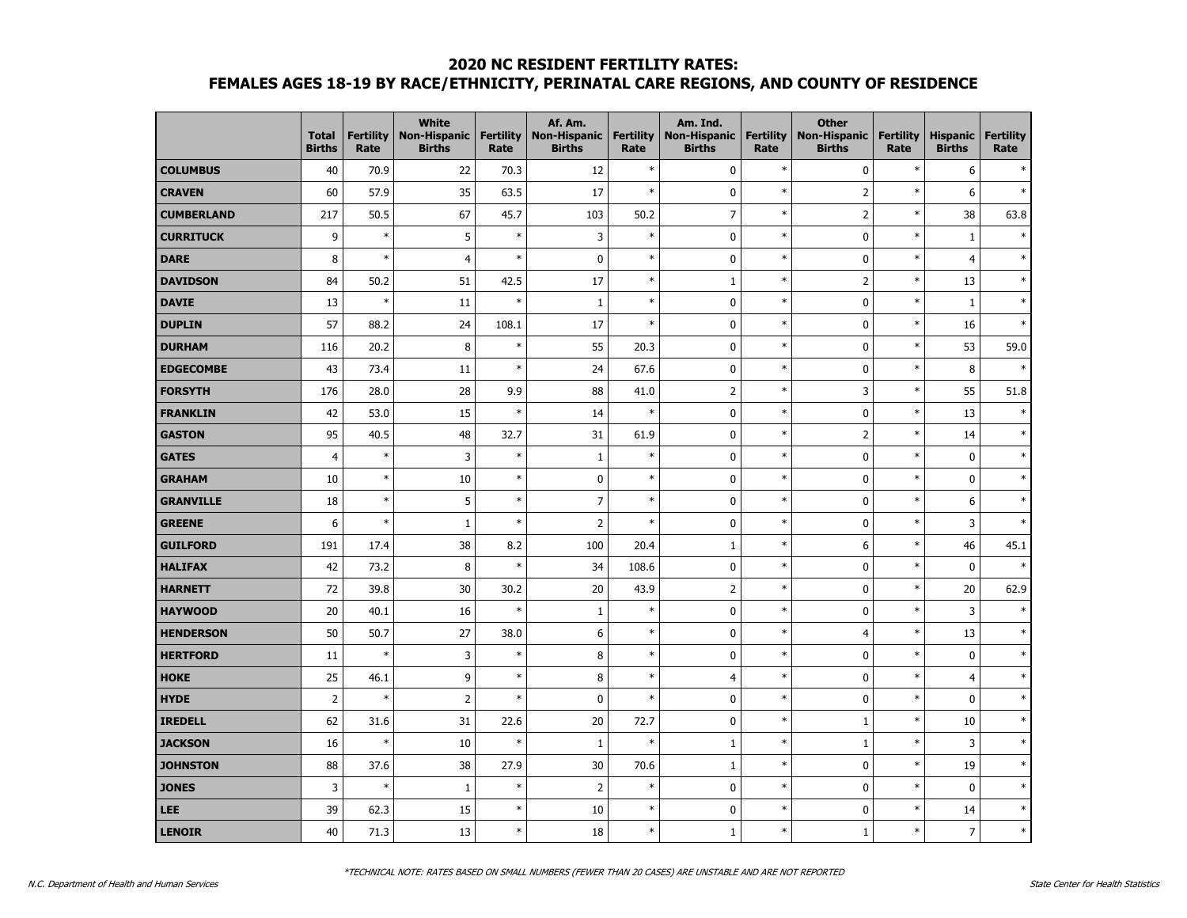### **2020 NC RESIDENT FERTILITY RATES: FEMALES AGES 18-19 BY RACE/ETHNICITY, PERINATAL CARE REGIONS, AND COUNTY OF RESIDENCE**

|                   | <b>Total</b><br><b>Births</b> | <b>Fertility</b><br>Rate | <b>White</b><br><b>Non-Hispanic</b><br><b>Births</b> | <b>Fertility</b><br>Rate | Af. Am.<br><b>Non-Hispanic</b><br><b>Births</b> | <b>Fertility</b><br>Rate | Am. Ind.<br><b>Non-Hispanic</b><br><b>Births</b> | <b>Fertility</b><br>Rate | <b>Other</b><br><b>Non-Hispanic</b><br><b>Births</b> | <b>Fertility</b><br>Rate | <b>Hispanic</b><br><b>Births</b> | <b>Fertility</b><br>Rate |
|-------------------|-------------------------------|--------------------------|------------------------------------------------------|--------------------------|-------------------------------------------------|--------------------------|--------------------------------------------------|--------------------------|------------------------------------------------------|--------------------------|----------------------------------|--------------------------|
| <b>COLUMBUS</b>   | 40                            | 70.9                     | 22                                                   | 70.3                     | 12                                              | $\ast$                   | 0                                                | $\ast$                   | $\pmb{0}$                                            | $\ast$                   | 6                                |                          |
| <b>CRAVEN</b>     | 60                            | 57.9                     | 35                                                   | 63.5                     | 17                                              | $\ast$                   | $\mathbf 0$                                      | $\ast$                   | $\overline{2}$                                       | $\ast$                   | 6                                | ×,                       |
| <b>CUMBERLAND</b> | 217                           | 50.5                     | 67                                                   | 45.7                     | 103                                             | 50.2                     | $\overline{7}$                                   | $\ast$                   | $\overline{2}$                                       | $\ast$                   | 38                               | 63.8                     |
| <b>CURRITUCK</b>  | 9                             | $\ast$                   | 5                                                    | $\ast$                   | 3                                               | $\ast$                   | $\pmb{0}$                                        | $\ast$                   | $\pmb{0}$                                            | $\ast$                   | $1\,$                            |                          |
| <b>DARE</b>       | 8                             | $\ast$                   | $\overline{\mathbf{4}}$                              | $\ast$                   | $\pmb{0}$                                       | $\ast$                   | $\mathbf 0$                                      | $\ast$                   | $\pmb{0}$                                            | $\ast$                   | $\overline{4}$                   |                          |
| <b>DAVIDSON</b>   | 84                            | 50.2                     | 51                                                   | 42.5                     | 17                                              | $\ast$                   | 1                                                | $\ast$                   | $\overline{2}$                                       | $\ast$                   | 13                               |                          |
| <b>DAVIE</b>      | 13                            | $\ast$                   | 11                                                   | $\ast$                   | $1\,$                                           | $\ast$                   | $\mathbf 0$                                      | $\ast$                   | $\mathbf 0$                                          | $\ast$                   | $1\,$                            |                          |
| <b>DUPLIN</b>     | 57                            | 88.2                     | 24                                                   | 108.1                    | 17                                              | $\ast$                   | $\mathbf 0$                                      | $\ast$                   | $\pmb{0}$                                            | $\ast$                   | 16                               |                          |
| <b>DURHAM</b>     | 116                           | 20.2                     | 8                                                    | $\ast$                   | 55                                              | 20.3                     | $\mathbf 0$                                      | $\ast$                   | $\mathbf 0$                                          | $\ast$                   | 53                               | 59.0                     |
| <b>EDGECOMBE</b>  | 43                            | 73.4                     | 11                                                   | $\ast$                   | 24                                              | 67.6                     | $\pmb{0}$                                        | $\ast$                   | $\pmb{0}$                                            | $\ast$                   | 8                                | ×,                       |
| <b>FORSYTH</b>    | 176                           | 28.0                     | 28                                                   | 9.9                      | 88                                              | 41.0                     | $\overline{c}$                                   | $\ast$                   | 3                                                    | $\ast$                   | 55                               | 51.8                     |
| <b>FRANKLIN</b>   | 42                            | 53.0                     | 15                                                   | $\ast$                   | 14                                              | $\ast$                   | $\mathbf 0$                                      | $\ast$                   | $\pmb{0}$                                            | $\ast$                   | 13                               |                          |
| <b>GASTON</b>     | 95                            | 40.5                     | 48                                                   | 32.7                     | 31                                              | 61.9                     | $\mathbf 0$                                      | $\ast$                   | $\overline{2}$                                       | $\ast$                   | 14                               |                          |
| <b>GATES</b>      | $\overline{4}$                | $\ast$                   | 3                                                    | $\ast$                   | $1\,$                                           | $\ast$                   | $\mathbf 0$                                      | $\ast$                   | $\bf{0}$                                             | $\ast$                   | $\mathbf 0$                      |                          |
| <b>GRAHAM</b>     | 10                            | $\ast$                   | 10                                                   | $\ast$                   | $\mathbf 0$                                     | $\ast$                   | $\mathbf 0$                                      | $\ast$                   | $\mathbf{0}$                                         | $\ast$                   | 0                                |                          |
| <b>GRANVILLE</b>  | 18                            | $\ast$                   | 5                                                    | $\ast$                   | $\overline{7}$                                  | $\ast$                   | $\pmb{0}$                                        | $\ast$                   | $\pmb{0}$                                            | $\ast$                   | 6                                |                          |
| <b>GREENE</b>     | 6                             | $\ast$                   | $\mathbf 1$                                          | $\ast$                   | $\overline{2}$                                  | $\ast$                   | $\mathbf 0$                                      | $\ast$                   | $\pmb{0}$                                            | $\ast$                   | 3                                |                          |
| <b>GUILFORD</b>   | 191                           | 17.4                     | 38                                                   | 8.2                      | 100                                             | 20.4                     | $\mathbf 1$                                      | $\ast$                   | 6                                                    | $\ast$                   | 46                               | 45.1                     |
| <b>HALIFAX</b>    | 42                            | 73.2                     | $\bf 8$                                              | $\ast$                   | 34                                              | 108.6                    | $\mathbf 0$                                      | $\ast$                   | $\mathbf 0$                                          | $\ast$                   | 0                                | $\ast$                   |
| <b>HARNETT</b>    | 72                            | 39.8                     | 30                                                   | 30.2                     | 20                                              | 43.9                     | $\overline{2}$                                   | $\ast$                   | $\pmb{0}$                                            | $\ast$                   | 20                               | 62.9                     |
| <b>HAYWOOD</b>    | 20                            | 40.1                     | 16                                                   | $\ast$                   | $1\,$                                           | $\ast$                   | $\mathbf 0$                                      | $\ast$                   | $\mathbf 0$                                          | $\ast$                   | 3                                |                          |
| <b>HENDERSON</b>  | 50                            | 50.7                     | 27                                                   | 38.0                     | 6                                               | $\ast$                   | $\mathbf 0$                                      | $\ast$                   | $\overline{4}$                                       | $\ast$                   | 13                               |                          |
| <b>HERTFORD</b>   | 11                            | $\ast$                   | 3                                                    | $\ast$                   | 8                                               | $\ast$                   | $\mathbf 0$                                      | $\ast$                   | $\pmb{0}$                                            | $\ast$                   | $\pmb{0}$                        |                          |
| <b>HOKE</b>       | 25                            | 46.1                     | 9                                                    | $\ast$                   | 8                                               | $\ast$                   | 4                                                | $\ast$                   | $\pmb{0}$                                            | $\ast$                   | $\overline{4}$                   |                          |
| <b>HYDE</b>       | $\overline{2}$                | $\ast$                   | $\overline{\mathbf{2}}$                              | $\ast$                   | 0                                               | $\ast$                   | $\mathbf 0$                                      | $\ast$                   | $\pmb{0}$                                            | $\ast$                   | $\pmb{0}$                        |                          |
| <b>IREDELL</b>    | 62                            | 31.6                     | 31                                                   | 22.6                     | 20                                              | 72.7                     | $\mathbf 0$                                      | $\ast$                   | $1\,$                                                | $\ast$                   | 10                               |                          |
| <b>JACKSON</b>    | 16                            | $\ast$                   | 10                                                   | $\ast$                   | $\mathbf{1}$                                    | $\ast$                   | $\mathbf 1$                                      | $\ast$                   | $1\,$                                                | $\ast$                   | 3                                |                          |
| <b>JOHNSTON</b>   | 88                            | 37.6                     | 38                                                   | 27.9                     | 30                                              | 70.6                     | 1                                                | $\ast$                   | $\pmb{0}$                                            | $\ast$                   | 19                               |                          |
| <b>JONES</b>      | 3                             | $\ast$                   | $\,1\,$                                              | $\ast$                   | $\overline{2}$                                  | $\ast$                   | $\pmb{0}$                                        | $\ast$                   | $\pmb{0}$                                            | $\ast$                   | 0                                |                          |
| LEE               | 39                            | 62.3                     | 15                                                   | $\ast$                   | 10                                              | $\ast$                   | $\pmb{0}$                                        | $\ast$                   | $\pmb{0}$                                            | $\ast$                   | 14                               | ×,                       |
| LENOIR            | 40                            | 71.3                     | 13                                                   | $\ast$                   | 18                                              | $\ast$                   | $\mathbf 1$                                      | $\ast$                   | $\mathbf 1$                                          | $\ast$                   | $\overline{\phantom{a}}$         | s,                       |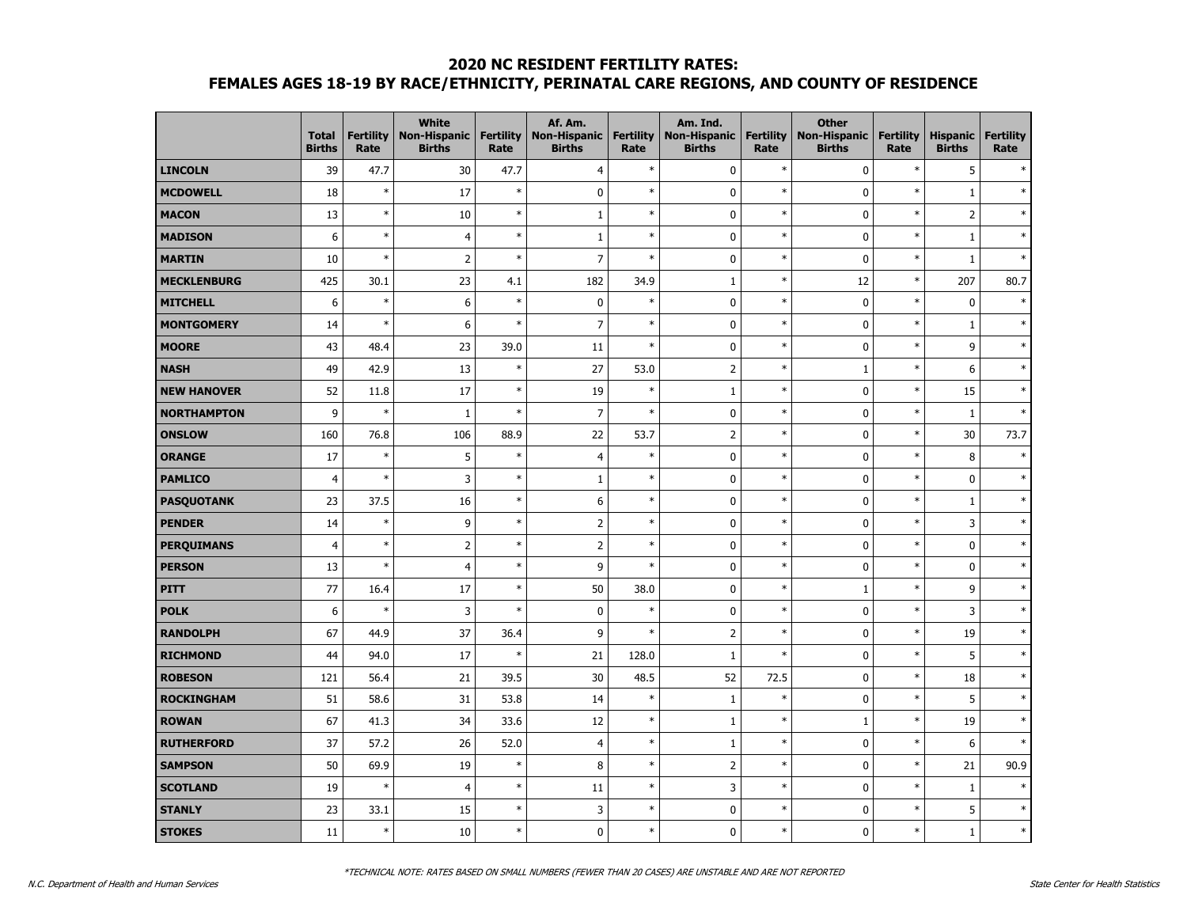### **2020 NC RESIDENT FERTILITY RATES:**

# **FEMALES AGES 18-19 BY RACE/ETHNICITY, PERINATAL CARE REGIONS, AND COUNTY OF RESIDENCE**

|                    | <b>Total</b><br><b>Births</b> | <b>Fertility</b><br>Rate | <b>White</b><br><b>Non-Hispanic</b><br><b>Births</b> | <b>Fertility</b><br>Rate | Af. Am.<br>Non-Hispanic<br><b>Births</b> | <b>Fertility</b><br>Rate | Am. Ind.<br><b>Non-Hispanic</b><br><b>Births</b> | <b>Fertility</b><br>Rate | <b>Other</b><br><b>Non-Hispanic</b><br><b>Births</b> | <b>Fertility</b><br>Rate | <b>Hispanic</b><br><b>Births</b> | <b>Fertility</b><br>Rate |
|--------------------|-------------------------------|--------------------------|------------------------------------------------------|--------------------------|------------------------------------------|--------------------------|--------------------------------------------------|--------------------------|------------------------------------------------------|--------------------------|----------------------------------|--------------------------|
| <b>LINCOLN</b>     | 39                            | 47.7                     | 30                                                   | 47.7                     | $\overline{4}$                           | $\ast$                   | $\pmb{0}$                                        | $\ast$                   | $\pmb{0}$                                            | $\ast$                   | 5                                |                          |
| <b>MCDOWELL</b>    | 18                            | $\ast$                   | 17                                                   | $\ast$                   | $\mathbf 0$                              | $\ast$                   | $\mathbf 0$                                      | $\ast$                   | $\pmb{0}$                                            | $\ast$                   | $\mathbf{1}$                     |                          |
| <b>MACON</b>       | 13                            | ×                        | 10                                                   | $\ast$                   | $\mathbf{1}$                             | $\ast$                   | $\mathbf 0$                                      | $\ast$                   | $\mathbf 0$                                          | $\ast$                   | $\overline{2}$                   |                          |
| <b>MADISON</b>     | 6                             | $\ast$                   | $\overline{4}$                                       | $\ast$                   | $\mathbf{1}$                             | $\ast$                   | $\mathbf 0$                                      | $\ast$                   | 0                                                    | $\ast$                   | $1\,$                            | $\ast$                   |
| <b>MARTIN</b>      | 10                            | ×,                       | $\overline{2}$                                       | $\ast$                   | $\overline{7}$                           | $\ast$                   | $\pmb{0}$                                        | $\ast$                   | $\pmb{0}$                                            | $\ast$                   | $\mathbf{1}$                     | $\ast$                   |
| <b>MECKLENBURG</b> | 425                           | 30.1                     | 23                                                   | 4.1                      | 182                                      | 34.9                     | $1\,$                                            | $\ast$                   | 12                                                   | $\ast$                   | 207                              | 80.7                     |
| <b>MITCHELL</b>    | 6                             | $\ast$                   | $\boldsymbol{6}$                                     | $\ast$                   | $\pmb{0}$                                | $\ast$                   | $\mathbf 0$                                      | $\ast$                   | $\pmb{0}$                                            | $\ast$                   | $\mathbf 0$                      |                          |
| <b>MONTGOMERY</b>  | 14                            | ×                        | 6                                                    | $\ast$                   | $\overline{7}$                           | $\ast$                   | $\mathbf 0$                                      | $\ast$                   | 0                                                    | $\ast$                   | $\mathbf{1}$                     | $\ast$                   |
| <b>MOORE</b>       | 43                            | 48.4                     | 23                                                   | 39.0                     | 11                                       | $\ast$                   | $\mathbf 0$                                      | $\ast$                   | $\mathbf 0$                                          | $\ast$                   | 9                                | $\ast$                   |
| <b>NASH</b>        | 49                            | 42.9                     | 13                                                   | $\ast$                   | 27                                       | 53.0                     | $\overline{2}$                                   | $\ast$                   | $\,1\,$                                              | $\ast$                   | 6                                | $\ast$                   |
| <b>NEW HANOVER</b> | 52                            | 11.8                     | 17                                                   | $\ast$                   | 19                                       | $\ast$                   | $1\,$                                            | $\ast$                   | $\pmb{0}$                                            | $\ast$                   | 15                               |                          |
| <b>NORTHAMPTON</b> | 9                             | $\ast$                   | $\mathbf{1}$                                         | $\ast$                   | $\overline{7}$                           | $\ast$                   | $\pmb{0}$                                        | $\ast$                   | $\pmb{0}$                                            | $\ast$                   | $\mathbf{1}$                     | $\ast$                   |
| <b>ONSLOW</b>      | 160                           | 76.8                     | 106                                                  | 88.9                     | 22                                       | 53.7                     | $\overline{2}$                                   | $\ast$                   | $\pmb{0}$                                            | $\ast$                   | 30                               | 73.7                     |
| <b>ORANGE</b>      | 17                            | $\ast$                   | 5                                                    | $\ast$                   | $\overline{4}$                           | $\ast$                   | $\mathbf 0$                                      | $\ast$                   | $\mathbf 0$                                          | $\ast$                   | 8                                | $\ast$                   |
| <b>PAMLICO</b>     | $\overline{4}$                | ×,                       | 3                                                    | $\ast$                   | $\mathbf 1$                              | $\ast$                   | $\pmb{0}$                                        | $\ast$                   | $\pmb{0}$                                            | $\ast$                   | $\pmb{0}$                        |                          |
| <b>PASQUOTANK</b>  | 23                            | 37.5                     | 16                                                   | $\ast$                   | 6                                        | $\ast$                   | $\pmb{0}$                                        | $\ast$                   | $\pmb{0}$                                            | $\ast$                   | $1\,$                            | $\ast$                   |
| <b>PENDER</b>      | 14                            | $\ast$                   | 9                                                    | $\ast$                   | $\overline{2}$                           | $\ast$                   | $\mathbf 0$                                      | $\ast$                   | $\pmb{0}$                                            | $\ast$                   | 3                                | $\ast$                   |
| <b>PERQUIMANS</b>  | $\overline{4}$                | $\ast$                   | $\overline{2}$                                       | $\ast$                   | $\overline{2}$                           | $\ast$                   | $\mathbf 0$                                      | $\ast$                   | $\mathbf 0$                                          | $\ast$                   | 0                                | $\ast$                   |
| <b>PERSON</b>      | 13                            | $\ast$                   | $\overline{4}$                                       | $\ast$                   | 9                                        | $\ast$                   | $\mathbf 0$                                      | $\ast$                   | $\mathbf 0$                                          | $\ast$                   | $\mathbf 0$                      | $\ast$                   |
| <b>PITT</b>        | 77                            | 16.4                     | 17                                                   | $\ast$                   | 50                                       | 38.0                     | $\pmb{0}$                                        | $\ast$                   | $\,1\,$                                              | $\ast$                   | 9                                | $\ast$                   |
| <b>POLK</b>        | 6                             | ×,                       | 3                                                    | $\ast$                   | $\pmb{0}$                                | $\ast$                   | $\mathbf 0$                                      | $\ast$                   | $\pmb{0}$                                            | $\ast$                   | 3                                | $\ast$                   |
| <b>RANDOLPH</b>    | 67                            | 44.9                     | 37                                                   | 36.4                     | 9                                        | $\ast$                   | $\overline{2}$                                   | $\ast$                   | $\mathbf 0$                                          | $\ast$                   | 19                               | $\star$                  |
| <b>RICHMOND</b>    | 44                            | 94.0                     | 17                                                   | $\ast$                   | 21                                       | 128.0                    | $\mathbf{1}$                                     | $\ast$                   | $\mathbf 0$                                          | $\ast$                   | 5                                |                          |
| <b>ROBESON</b>     | 121                           | 56.4                     | 21                                                   | 39.5                     | 30                                       | 48.5                     | 52                                               | 72.5                     | $\pmb{0}$                                            | $\ast$                   | 18                               | $\ast$                   |
| <b>ROCKINGHAM</b>  | 51                            | 58.6                     | 31                                                   | 53.8                     | 14                                       | $\ast$                   | $1\,$                                            | $\ast$                   | 0                                                    | $\ast$                   | 5                                | $\ast$                   |
| <b>ROWAN</b>       | 67                            | 41.3                     | 34                                                   | 33.6                     | 12                                       | $\ast$                   | $\mathbf{1}$                                     | $\ast$                   | $\mathbf{1}$                                         | $\ast$                   | 19                               | $\ast$                   |
| <b>RUTHERFORD</b>  | 37                            | 57.2                     | 26                                                   | 52.0                     | $\overline{4}$                           | $\ast$                   | $\mathbf{1}$                                     | $\ast$                   | 0                                                    | $\ast$                   | 6                                |                          |
| <b>SAMPSON</b>     | 50                            | 69.9                     | 19                                                   | $\ast$                   | 8                                        | $\ast$                   | $\overline{2}$                                   | $\ast$                   | $\pmb{0}$                                            | $\ast$                   | 21                               | 90.9                     |
| <b>SCOTLAND</b>    | 19                            | $\ast$                   | $\overline{4}$                                       | $\ast$                   | 11                                       | $\ast$                   | 3                                                | $\ast$                   | $\pmb{0}$                                            | $\ast$                   | $\mathbf{1}$                     |                          |
| <b>STANLY</b>      | 23                            | 33.1                     | 15                                                   | $\ast$                   | 3                                        | $\ast$                   | $\pmb{0}$                                        | $\ast$                   | $\pmb{0}$                                            | $\ast$                   | 5                                | $\ast$                   |
| <b>STOKES</b>      | 11                            | $\ast$                   | 10                                                   | $\ast$                   | $\mathbf 0$                              | $\ast$                   | $\mathbf 0$                                      | $\ast$                   | $\mathbf 0$                                          | $\ast$                   | $\mathbf{1}$                     | $\ast$                   |